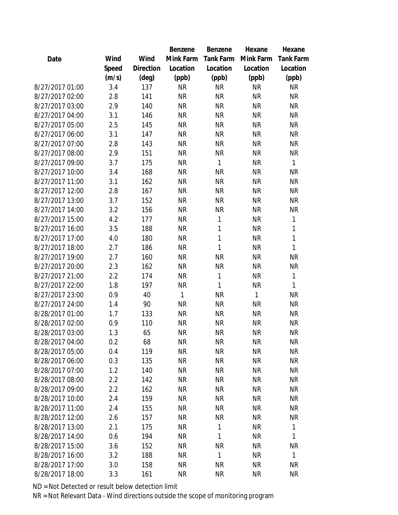|                 |       |                | Benzene   | Benzene          | Hexane       | Hexane           |
|-----------------|-------|----------------|-----------|------------------|--------------|------------------|
| Date            | Wind  | Wind           | Mink Farm | <b>Tank Farm</b> | Mink Farm    | <b>Tank Farm</b> |
|                 | Speed | Direction      | Location  | Location         | Location     | Location         |
|                 | (m/s) | $(\text{deg})$ | (ppb)     | (ppb)            | (ppb)        | (ppb)            |
| 8/27/2017 01:00 | 3.4   | 137            | <b>NR</b> | <b>NR</b>        | <b>NR</b>    | <b>NR</b>        |
| 8/27/2017 02:00 | 2.8   | 141            | <b>NR</b> | <b>NR</b>        | <b>NR</b>    | <b>NR</b>        |
| 8/27/2017 03:00 | 2.9   | 140            | <b>NR</b> | <b>NR</b>        | <b>NR</b>    | <b>NR</b>        |
| 8/27/2017 04:00 | 3.1   | 146            | <b>NR</b> | <b>NR</b>        | <b>NR</b>    | <b>NR</b>        |
| 8/27/2017 05:00 | 2.5   | 145            | <b>NR</b> | <b>NR</b>        | <b>NR</b>    | <b>NR</b>        |
| 8/27/2017 06:00 | 3.1   | 147            | <b>NR</b> | <b>NR</b>        | <b>NR</b>    | <b>NR</b>        |
| 8/27/2017 07:00 | 2.8   | 143            | <b>NR</b> | <b>NR</b>        | <b>NR</b>    | <b>NR</b>        |
| 8/27/2017 08:00 | 2.9   | 151            | <b>NR</b> | <b>NR</b>        | <b>NR</b>    | <b>NR</b>        |
| 8/27/2017 09:00 | 3.7   | 175            | <b>NR</b> | 1                | <b>NR</b>    | $\mathbf{1}$     |
| 8/27/2017 10:00 | 3.4   | 168            | <b>NR</b> | <b>NR</b>        | <b>NR</b>    | <b>NR</b>        |
| 8/27/2017 11:00 | 3.1   | 162            | <b>NR</b> | <b>NR</b>        | <b>NR</b>    | <b>NR</b>        |
| 8/27/2017 12:00 | 2.8   | 167            | <b>NR</b> | <b>NR</b>        | <b>NR</b>    | <b>NR</b>        |
| 8/27/2017 13:00 | 3.7   | 152            | <b>NR</b> | <b>NR</b>        | <b>NR</b>    | <b>NR</b>        |
| 8/27/2017 14:00 | 3.2   | 156            | <b>NR</b> | <b>NR</b>        | <b>NR</b>    | <b>NR</b>        |
| 8/27/2017 15:00 | 4.2   | 177            | <b>NR</b> | 1                | <b>NR</b>    | 1                |
| 8/27/2017 16:00 | 3.5   | 188            | <b>NR</b> | 1                | <b>NR</b>    | 1                |
| 8/27/2017 17:00 | 4.0   | 180            | <b>NR</b> | 1                | <b>NR</b>    | 1                |
| 8/27/2017 18:00 | 2.7   | 186            | <b>NR</b> | 1                | <b>NR</b>    | 1                |
| 8/27/2017 19:00 | 2.7   | 160            | <b>NR</b> | <b>NR</b>        | <b>NR</b>    | <b>NR</b>        |
| 8/27/2017 20:00 | 2.3   | 162            | <b>NR</b> | <b>NR</b>        | <b>NR</b>    | <b>NR</b>        |
| 8/27/2017 21:00 | 2.2   | 174            | <b>NR</b> | 1                | <b>NR</b>    | 1                |
| 8/27/2017 22:00 | 1.8   | 197            | <b>NR</b> | 1                | <b>NR</b>    | 1                |
| 8/27/2017 23:00 | 0.9   | 40             | 1         | <b>NR</b>        | $\mathbf{1}$ | <b>NR</b>        |
| 8/27/2017 24:00 | 1.4   | 90             | <b>NR</b> | <b>NR</b>        | <b>NR</b>    | <b>NR</b>        |
| 8/28/2017 01:00 | 1.7   | 133            | <b>NR</b> | <b>NR</b>        | <b>NR</b>    | <b>NR</b>        |
| 8/28/2017 02:00 | 0.9   | 110            | <b>NR</b> | <b>NR</b>        | <b>NR</b>    | <b>NR</b>        |
| 8/28/2017 03:00 | 1.3   | 65             | <b>NR</b> | <b>NR</b>        | <b>NR</b>    | <b>NR</b>        |
| 8/28/2017 04:00 | 0.2   | 68             | NR        | <b>NR</b>        | <b>NR</b>    | NR               |
| 8/28/2017 05:00 | 0.4   | 119            | <b>NR</b> | <b>NR</b>        | <b>NR</b>    | <b>NR</b>        |
| 8/28/2017 06:00 | 0.3   | 135            | <b>NR</b> | <b>NR</b>        | <b>NR</b>    | <b>NR</b>        |
| 8/28/2017 07:00 | 1.2   | 140            | <b>NR</b> | <b>NR</b>        | <b>NR</b>    | NR               |
| 8/28/2017 08:00 | 2.2   | 142            | <b>NR</b> | <b>NR</b>        | <b>NR</b>    | <b>NR</b>        |
| 8/28/2017 09:00 | 2.2   | 162            | <b>NR</b> | <b>NR</b>        | <b>NR</b>    | NR               |
| 8/28/2017 10:00 | 2.4   | 159            | <b>NR</b> | <b>NR</b>        | <b>NR</b>    | <b>NR</b>        |
| 8/28/2017 11:00 | 2.4   | 155            | <b>NR</b> | <b>NR</b>        | <b>NR</b>    | NR               |
| 8/28/2017 12:00 | 2.6   | 157            | <b>NR</b> | <b>NR</b>        | <b>NR</b>    | <b>NR</b>        |
| 8/28/2017 13:00 | 2.1   | 175            | <b>NR</b> | 1                | <b>NR</b>    | 1                |
| 8/28/2017 14:00 | 0.6   | 194            | <b>NR</b> | 1                | <b>NR</b>    | 1                |
| 8/28/2017 15:00 | 3.6   | 152            | <b>NR</b> | <b>NR</b>        | <b>NR</b>    | <b>NR</b>        |
| 8/28/2017 16:00 | 3.2   | 188            | <b>NR</b> | 1                | <b>NR</b>    | $\mathbf{1}$     |
| 8/28/2017 17:00 | 3.0   | 158            | <b>NR</b> | <b>NR</b>        | <b>NR</b>    | <b>NR</b>        |
| 8/28/2017 18:00 | 3.3   | 161            | <b>NR</b> | <b>NR</b>        | <b>NR</b>    | <b>NR</b>        |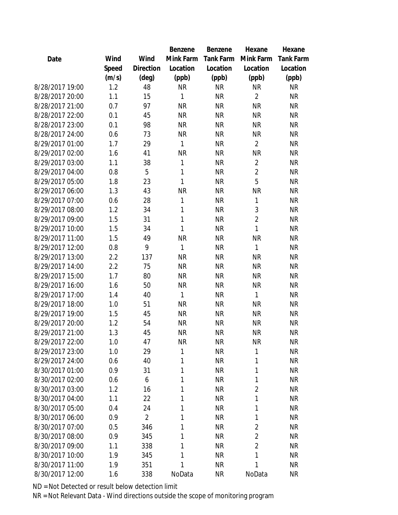|                 |       |                | Benzene      | Benzene          | Hexane         | Hexane           |
|-----------------|-------|----------------|--------------|------------------|----------------|------------------|
| Date            | Wind  | Wind           | Mink Farm    | <b>Tank Farm</b> | Mink Farm      | <b>Tank Farm</b> |
|                 | Speed | Direction      | Location     | Location         | Location       | Location         |
|                 | (m/s) | $(\text{deg})$ | (ppb)        | (ppb)            | (ppb)          | (ppb)            |
| 8/28/2017 19:00 | 1.2   | 48             | <b>NR</b>    | <b>NR</b>        | <b>NR</b>      | <b>NR</b>        |
| 8/28/2017 20:00 | 1.1   | 15             | 1            | <b>NR</b>        | $\overline{2}$ | <b>NR</b>        |
| 8/28/2017 21:00 | 0.7   | 97             | <b>NR</b>    | <b>NR</b>        | <b>NR</b>      | <b>NR</b>        |
| 8/28/2017 22:00 | 0.1   | 45             | <b>NR</b>    | <b>NR</b>        | <b>NR</b>      | <b>NR</b>        |
| 8/28/2017 23:00 | 0.1   | 98             | <b>NR</b>    | <b>NR</b>        | <b>NR</b>      | <b>NR</b>        |
| 8/28/2017 24:00 | 0.6   | 73             | <b>NR</b>    | <b>NR</b>        | <b>NR</b>      | <b>NR</b>        |
| 8/29/2017 01:00 | 1.7   | 29             | 1            | <b>NR</b>        | $\overline{2}$ | <b>NR</b>        |
| 8/29/2017 02:00 | 1.6   | 41             | <b>NR</b>    | <b>NR</b>        | NR             | <b>NR</b>        |
| 8/29/2017 03:00 | 1.1   | 38             | 1            | <b>NR</b>        | $\overline{2}$ | <b>NR</b>        |
| 8/29/2017 04:00 | 0.8   | 5              | 1            | <b>NR</b>        | $\overline{2}$ | <b>NR</b>        |
| 8/29/2017 05:00 | 1.8   | 23             | $\mathbf{1}$ | <b>NR</b>        | 5              | <b>NR</b>        |
| 8/29/2017 06:00 | 1.3   | 43             | <b>NR</b>    | <b>NR</b>        | <b>NR</b>      | <b>NR</b>        |
| 8/29/2017 07:00 | 0.6   | 28             | $\mathbf{1}$ | <b>NR</b>        | 1              | <b>NR</b>        |
| 8/29/2017 08:00 | 1.2   | 34             | 1            | <b>NR</b>        | 3              | <b>NR</b>        |
| 8/29/2017 09:00 | 1.5   | 31             | $\mathbf{1}$ | <b>NR</b>        | $\overline{2}$ | <b>NR</b>        |
| 8/29/2017 10:00 | 1.5   | 34             | $\mathbf{1}$ | <b>NR</b>        | $\mathbf{1}$   | <b>NR</b>        |
| 8/29/2017 11:00 | 1.5   | 49             | <b>NR</b>    | <b>NR</b>        | <b>NR</b>      | <b>NR</b>        |
| 8/29/2017 12:00 | 0.8   | 9              | 1            | <b>NR</b>        | 1              | <b>NR</b>        |
| 8/29/2017 13:00 | 2.2   | 137            | <b>NR</b>    | <b>NR</b>        | <b>NR</b>      | <b>NR</b>        |
| 8/29/2017 14:00 | 2.2   | 75             | <b>NR</b>    | <b>NR</b>        | <b>NR</b>      | <b>NR</b>        |
| 8/29/2017 15:00 | 1.7   | 80             | <b>NR</b>    | <b>NR</b>        | <b>NR</b>      | <b>NR</b>        |
| 8/29/2017 16:00 | 1.6   | 50             | <b>NR</b>    | <b>NR</b>        | <b>NR</b>      | <b>NR</b>        |
| 8/29/2017 17:00 | 1.4   | 40             | 1            | <b>NR</b>        | 1              | <b>NR</b>        |
| 8/29/2017 18:00 | 1.0   | 51             | <b>NR</b>    | <b>NR</b>        | <b>NR</b>      | <b>NR</b>        |
| 8/29/2017 19:00 | 1.5   | 45             | <b>NR</b>    | <b>NR</b>        | <b>NR</b>      | <b>NR</b>        |
| 8/29/2017 20:00 | 1.2   | 54             | <b>NR</b>    | <b>NR</b>        | <b>NR</b>      | <b>NR</b>        |
| 8/29/2017 21:00 | 1.3   | 45             | <b>NR</b>    | <b>NR</b>        | ΝR             | <b>NR</b>        |
| 8/29/2017 22:00 | 1.0   | 47             | <b>NR</b>    | <b>NR</b>        | <b>NR</b>      | <b>NR</b>        |
| 8/29/2017 23:00 | 1.0   | 29             | 1            | <b>NR</b>        | 1              | <b>NR</b>        |
| 8/29/2017 24:00 | 0.6   | 40             | 1            | <b>NR</b>        | 1              | <b>NR</b>        |
| 8/30/2017 01:00 | 0.9   | 31             | 1            | <b>NR</b>        | 1              | <b>NR</b>        |
| 8/30/2017 02:00 | 0.6   | 6              | 1            | <b>NR</b>        | 1              | <b>NR</b>        |
| 8/30/2017 03:00 | 1.2   | 16             | 1            | <b>NR</b>        | 2              | <b>NR</b>        |
| 8/30/2017 04:00 | 1.1   | 22             | 1            | <b>NR</b>        | 1              | <b>NR</b>        |
| 8/30/2017 05:00 | 0.4   | 24             | 1            | <b>NR</b>        | 1              | <b>NR</b>        |
| 8/30/2017 06:00 | 0.9   | $\overline{2}$ | 1            | <b>NR</b>        | 1              | <b>NR</b>        |
| 8/30/2017 07:00 | 0.5   | 346            | 1            | <b>NR</b>        | $\overline{2}$ | <b>NR</b>        |
| 8/30/2017 08:00 | 0.9   | 345            | 1            | <b>NR</b>        | $\overline{2}$ | <b>NR</b>        |
| 8/30/2017 09:00 | 1.1   | 338            | 1            | <b>NR</b>        | $\overline{2}$ | <b>NR</b>        |
| 8/30/2017 10:00 | 1.9   | 345            | 1            | <b>NR</b>        | 1              | NR               |
| 8/30/2017 11:00 | 1.9   | 351            | 1            | <b>NR</b>        | 1              | <b>NR</b>        |
| 8/30/2017 12:00 | 1.6   | 338            | NoData       | <b>NR</b>        | NoData         | <b>NR</b>        |
|                 |       |                |              |                  |                |                  |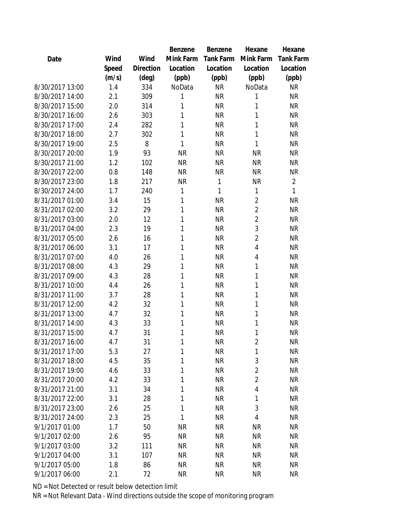|                 |       |                | Benzene   | Benzene   | Hexane         | Hexane           |
|-----------------|-------|----------------|-----------|-----------|----------------|------------------|
| Date            | Wind  | Wind           | Mink Farm | Tank Farm | Mink Farm      | <b>Tank Farm</b> |
|                 | Speed | Direction      | Location  | Location  | Location       | Location         |
|                 | (m/s) | $(\text{deg})$ | (ppb)     | (ppb)     | (ppb)          | (ppb)            |
| 8/30/2017 13:00 | 1.4   | 334            | NoData    | <b>NR</b> | NoData         | <b>NR</b>        |
| 8/30/2017 14:00 | 2.1   | 309            | 1         | <b>NR</b> | 1              | <b>NR</b>        |
| 8/30/2017 15:00 | 2.0   | 314            | 1         | <b>NR</b> | 1              | <b>NR</b>        |
| 8/30/2017 16:00 | 2.6   | 303            | 1         | <b>NR</b> | 1              | <b>NR</b>        |
| 8/30/2017 17:00 | 2.4   | 282            | 1         | <b>NR</b> | 1              | <b>NR</b>        |
| 8/30/2017 18:00 | 2.7   | 302            | 1         | <b>NR</b> | 1              | <b>NR</b>        |
| 8/30/2017 19:00 | 2.5   | 8              | 1         | <b>NR</b> | 1              | <b>NR</b>        |
| 8/30/2017 20:00 | 1.9   | 93             | <b>NR</b> | <b>NR</b> | <b>NR</b>      | <b>NR</b>        |
| 8/30/2017 21:00 | 1.2   | 102            | <b>NR</b> | <b>NR</b> | <b>NR</b>      | <b>NR</b>        |
| 8/30/2017 22:00 | 0.8   | 148            | <b>NR</b> | <b>NR</b> | <b>NR</b>      | <b>NR</b>        |
| 8/30/2017 23:00 | 1.8   | 217            | <b>NR</b> | 1         | NR             | $\overline{2}$   |
| 8/30/2017 24:00 | 1.7   | 240            | 1         | 1         | 1              | 1                |
| 8/31/2017 01:00 | 3.4   | 15             | 1         | <b>NR</b> | $\overline{2}$ | <b>NR</b>        |
| 8/31/2017 02:00 | 3.2   | 29             | 1         | <b>NR</b> | $\overline{2}$ | <b>NR</b>        |
| 8/31/2017 03:00 | 2.0   | 12             | 1         | <b>NR</b> | $\overline{2}$ | <b>NR</b>        |
| 8/31/2017 04:00 | 2.3   | 19             | 1         | <b>NR</b> | 3              | <b>NR</b>        |
| 8/31/2017 05:00 | 2.6   | 16             | 1         | <b>NR</b> | $\overline{2}$ | <b>NR</b>        |
| 8/31/2017 06:00 | 3.1   | 17             | 1         | <b>NR</b> | 4              | <b>NR</b>        |
| 8/31/2017 07:00 | 4.0   | 26             | 1         | <b>NR</b> | 4              | <b>NR</b>        |
| 8/31/2017 08:00 | 4.3   | 29             | 1         | <b>NR</b> | 1              | <b>NR</b>        |
| 8/31/2017 09:00 | 4.3   | 28             | 1         | <b>NR</b> | 1              | <b>NR</b>        |
| 8/31/2017 10:00 | 4.4   | 26             | 1         | <b>NR</b> | 1              | <b>NR</b>        |
| 8/31/2017 11:00 | 3.7   | 28             | 1         | <b>NR</b> | 1              | <b>NR</b>        |
| 8/31/2017 12:00 | 4.2   | 32             | 1         | <b>NR</b> | 1              | <b>NR</b>        |
| 8/31/2017 13:00 | 4.7   | 32             | 1         | <b>NR</b> | 1              | <b>NR</b>        |
| 8/31/2017 14:00 | 4.3   | 33             | 1         | <b>NR</b> | 1              | <b>NR</b>        |
| 8/31/2017 15:00 | 4.7   | 31             | 1         | <b>NR</b> | 1              | <b>NR</b>        |
| 8/31/2017 16:00 | 4.7   | 31             | 1         | <b>NR</b> | $\overline{2}$ | <b>NR</b>        |
| 8/31/2017 17:00 | 5.3   | 27             | 1         | <b>NR</b> | 1              | <b>NR</b>        |
| 8/31/2017 18:00 | 4.5   | 35             | 1         | <b>NR</b> | 3              | <b>NR</b>        |
| 8/31/2017 19:00 | 4.6   | 33             | 1         | <b>NR</b> | $\overline{2}$ | <b>NR</b>        |
| 8/31/2017 20:00 | 4.2   | 33             | 1         | <b>NR</b> | $\overline{2}$ | <b>NR</b>        |
| 8/31/2017 21:00 | 3.1   | 34             | 1         | <b>NR</b> | 4              | <b>NR</b>        |
| 8/31/2017 22:00 | 3.1   | 28             | 1         | <b>NR</b> | 1              | <b>NR</b>        |
| 8/31/2017 23:00 | 2.6   | 25             | 1         | <b>NR</b> | 3              | <b>NR</b>        |
| 8/31/2017 24:00 | 2.3   | 25             | 1         | <b>NR</b> | 4              | <b>NR</b>        |
| 9/1/2017 01:00  | 1.7   | 50             | <b>NR</b> | <b>NR</b> | <b>NR</b>      | <b>NR</b>        |
| 9/1/2017 02:00  | 2.6   | 95             | <b>NR</b> | <b>NR</b> | <b>NR</b>      | <b>NR</b>        |
| 9/1/2017 03:00  | 3.2   | 111            | <b>NR</b> | <b>NR</b> | <b>NR</b>      | <b>NR</b>        |
| 9/1/2017 04:00  | 3.1   | 107            | <b>NR</b> | <b>NR</b> | ΝR             | NR               |
| 9/1/2017 05:00  | 1.8   | 86             | <b>NR</b> | <b>NR</b> | <b>NR</b>      | <b>NR</b>        |
| 9/1/2017 06:00  | 2.1   | 72             | <b>NR</b> | <b>NR</b> | ΝR             | <b>NR</b>        |
|                 |       |                |           |           |                |                  |